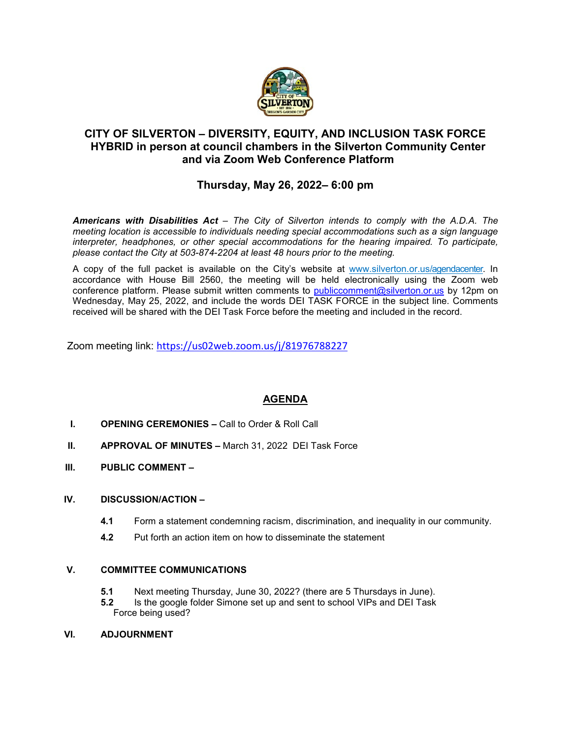

# **CITY OF SILVERTON – DIVERSITY, EQUITY, AND INCLUSION TASK FORCE HYBRID in person at council chambers in the Silverton Community Center and via Zoom Web Conference Platform**

# **Thursday, May 26, 2022– 6:00 pm**

*Americans with Disabilities Act – The City of Silverton intends to comply with the A.D.A. The meeting location is accessible to individuals needing special accommodations such as a sign language interpreter, headphones, or other special accommodations for the hearing impaired. To participate, please contact the City at 503-874-2204 at least 48 hours prior to the meeting.*

A copy of the full packet is available on the City's website at [www.silverton.or.us/agendacenter.](http://www.silverton.or.us/agendacenter) In accordance with House Bill 2560, the meeting will be held electronically using the Zoom web conference platform. Please submit written comments to [publiccomment@silverton.or.us](mailto:publiccomment@silverton.or.us) by 12pm on Wednesday, May 25, 2022, and include the words DEI TASK FORCE in the subject line. Comments received will be shared with the DEI Task Force before the meeting and included in the record.

Zoom meeting link: <https://us02web.zoom.us/j/81976788227>

# **AGENDA**

- **I. OPENING CEREMONIES –** Call to Order & Roll Call
- **II. APPROVAL OF MINUTES –** March 31, 2022 DEI Task Force
- **III. PUBLIC COMMENT –**

#### **IV. DISCUSSION/ACTION –**

- **4.1** Form a statement condemning racism, discrimination, and inequality in our community.
- **4.2** Put forth an action item on how to disseminate the statement

#### **V. COMMITTEE COMMUNICATIONS**

- **5.1** Next meeting Thursday, June 30, 2022? (there are 5 Thursdays in June).<br>**5.2** Is the google folder Simone set up and sent to school VIPs and DEI Task
- **5.2** Is the google folder Simone set up and sent to school VIPs and DEI Task Force being used?

#### **VI. ADJOURNMENT**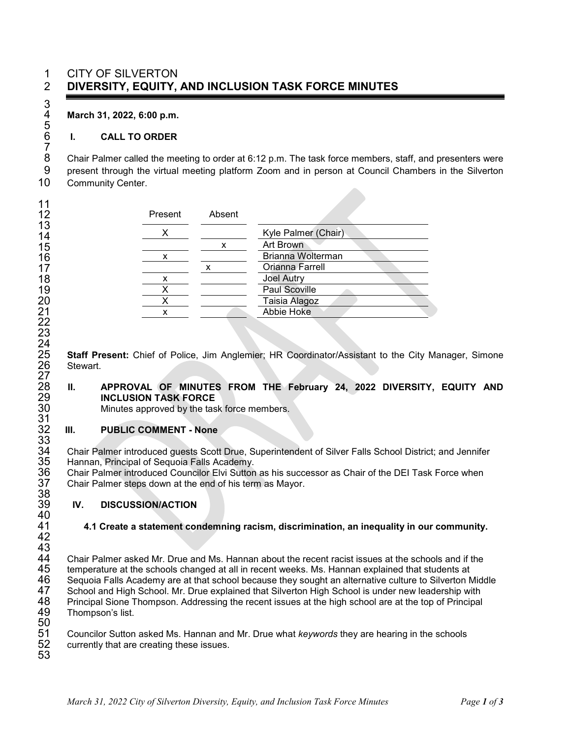# 1 CITY OF SILVERTON 2 **DIVERSITY, EQUITY, AND INCLUSION TASK FORCE MINUTES**

4 **March 31, 2022, 6:00 p.m.**

3

5

7

### 6 **I. CALL TO ORDER**

8 Chair Palmer called the meeting to order at 6:12 p.m. The task force members, staff, and presenters were<br>9 present through the virtual meeting platform Zoom and in person at Council Chambers in the Silverton 9 present through the virtual meeting platform Zoom and in person at Council Chambers in the Silverton 10 Community Center.

| Present | Absent |                      |
|---------|--------|----------------------|
|         |        | Kyle Palmer (Chair)  |
|         | х      | <b>Art Brown</b>     |
| x       |        | Brianna Wolterman    |
|         |        | Orianna Farrell      |
| x       |        | <b>Joel Autry</b>    |
|         |        | <b>Paul Scoville</b> |
|         |        | Taisia Alagoz        |
| x       |        | Abbie Hoke           |

25 **Staff Present:** Chief of Police, Jim Anglemier; HR Coordinator/Assistant to the City Manager, Simone Stewart.

#### 28 **II. APPROVAL OF MINUTES FROM THE February 24, 2022 DIVERSITY, EQUITY AND**  29 **INCLUSION TASK FORCE**

Minutes approved by the task force members.

#### **III. PUBLIC COMMENT - None**

33<br>34 34 Chair Palmer introduced guests Scott Drue, Superintendent of Silver Falls School District; and Jennifer<br>35 Hannan, Principal of Sequoia Falls Academy.

35 Hannan, Principal of Sequoia Falls Academy.<br>36 Chair Palmer introduced Councilor Elvi Sutton<br>37 Chair Palmer steps down at the end of his terr Chair Palmer introduced Councilor Elvi Sutton as his successor as Chair of the DEI Task Force when Chair Palmer steps down at the end of his term as Mayor.

#### 39 **IV. DISCUSSION/ACTION**

# 41 **4.1 Create a statement condemning racism, discrimination, an inequality in our community.**

40<br>41 42 43<br>44

38<br>39

 $\frac{27}{28}$ 

 $\frac{30}{31}$ <br> $\frac{32}{32}$ 

44 Chair Palmer asked Mr. Drue and Ms. Hannan about the recent racist issues at the schools and if the<br>45 temperature at the schools changed at all in recent weeks. Ms. Hannan explained that students at 45 temperature at the schools changed at all in recent weeks. Ms. Hannan explained that students at<br>46 Sequoia Falls Academy are at that school because they sought an alternative culture to Silverton M 46 Sequoia Falls Academy are at that school because they sought an alternative culture to Silverton Middle<br>47 School and High School. Mr. Drue explained that Silverton High School is under new leadership with 47 School and High School. Mr. Drue explained that Silverton High School is under new leadership with 48 Principal Sione Thompson. Addressing the recent issues at the high school are at the top of Principal Thompson's list.

50<br>51 51 Councilor Sutton asked Ms. Hannan and Mr. Drue what *keywords* they are hearing in the schools currently that are creating these issues. 53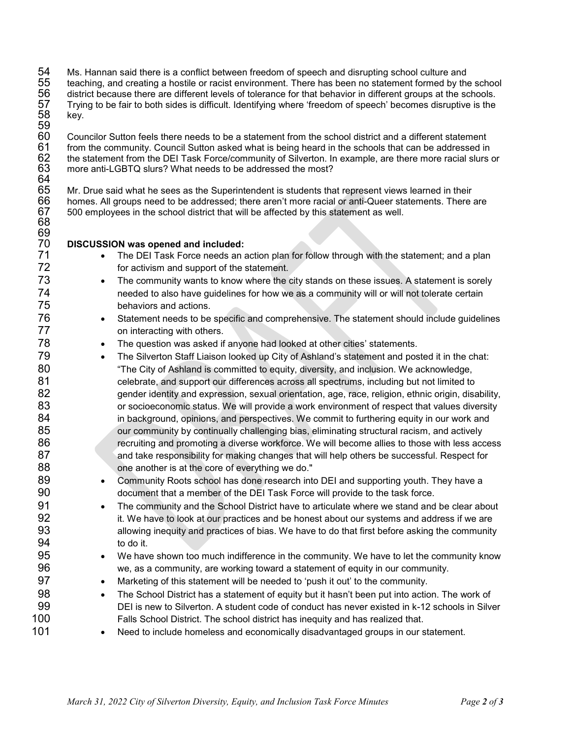54 Ms. Hannan said there is a conflict between freedom of speech and disrupting school culture and 55 teaching, and creating a hostile or racist environment. There has been no statement formed by the school<br>56 district because there are different levels of tolerance for that behavior in different groups at the schools.<br> district because there are different levels of tolerance for that behavior in different groups at the schools. 57 Trying to be fair to both sides is difficult. Identifying where 'freedom of speech' becomes disruptive is the key.

59<br>60 60 Councilor Sutton feels there needs to be a statement from the school district and a different statement 61 from the community. Council Sutton asked what is being heard in the schools that can be addressed in 62 the statement from the DEI Task Force/community of Silverton. In example, are there more racial slurs or 63 more anti-LGBTQ slurs? What needs to be addressed the most? more anti-LGBTQ slurs? What needs to be addressed the most? 64<br>65

65 Mr. Drue said what he sees as the Superintendent is students that represent views learned in their 66 homes. All groups need to be addressed; there aren't more racial or anti-Queer statements. There are 67 500 employees in the school district that will be affected by this statement as well.

# 69<br>70 70 **DISCUSSION was opened and included:**

68

- The DEI Task Force needs an action plan for follow through with the statement; and a plan 72 for activism and support of the statement.
- 73 The community wants to know where the city stands on these issues. A statement is sorely 74 needed to also have guidelines for how we as a community will or will not tolerate certain behaviors and actions.
- 76 Statement needs to be specific and comprehensive. The statement should include guidelines 77 **begins** on interacting with others.
- 78 The question was asked if anyone had looked at other cities' statements.
- 79 The Silverton Staff Liaison looked up City of Ashland's statement and posted it in the chat: 80 "The City of Ashland is committed to equity, diversity, and inclusion. We acknowledge, 81 celebrate, and support our differences across all spectrums, including but not limited to 82 gender identity and expression, sexual orientation, age, race, religion, ethnic origin, disability, 83 or socioeconomic status. We will provide a work environment of respect that values diversity 84 in background, opinions, and perspectives. We commit to furthering equity in our work and 85 our community by continually challenging bias, eliminating structural racism, and actively 86 recruiting and promoting a diverse workforce. We will become allies to those with less access 87 and take responsibility for making changes that will help others be successful. Respect for 88 one another is at the core of everything we do."
- 89 Community Roots school has done research into DEI and supporting youth. They have a 90 document that a member of the DEI Task Force will provide to the task force.
- 91 The community and the School District have to articulate where we stand and be clear about 92 it. We have to look at our practices and be honest about our systems and address if we are 93 allowing inequity and practices of bias. We have to do that first before asking the community 94 to do it.
- 95 We have shown too much indifference in the community. We have to let the community know 96 we, as a community, are working toward a statement of equity in our community.
- 97 Marketing of this statement will be needed to 'push it out' to the community.
- 98 The School District has a statement of equity but it hasn't been put into action. The work of 99 DEI is new to Silverton. A student code of conduct has never existed in k-12 schools in Silver 100 Falls School District. The school district has inequity and has realized that.
- 101 Need to include homeless and economically disadvantaged groups in our statement.